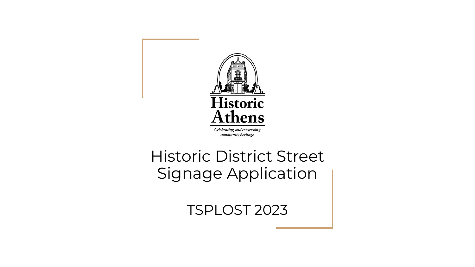

#### Historic District Street Signage Application

TSPLOST 2023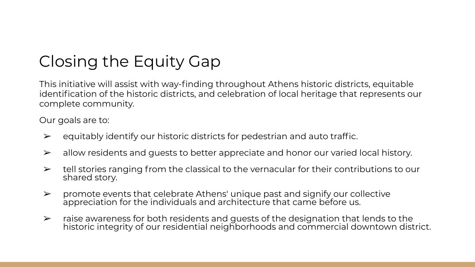## Closing the Equity Gap

This initiative will assist with way-finding throughout Athens historic districts, equitable identification of the historic districts, and celebration of local heritage that represents our complete community.

Our goals are to:

- $\triangleright$  equitably identify our historic districts for pedestrian and auto traffic.
- $\triangleright$  allow residents and quests to better appreciate and honor our varied local history.
- $\triangleright$  tell stories ranging from the classical to the vernacular for their contributions to our shared story.
- $\triangleright$  promote events that celebrate Athens' unique past and signify our collective appreciation for the individuals and architecture that came before us.
- $\triangleright$  raise awareness for both residents and quests of the designation that lends to the historic integrity of our residential neighborhoods and commercial downtown district.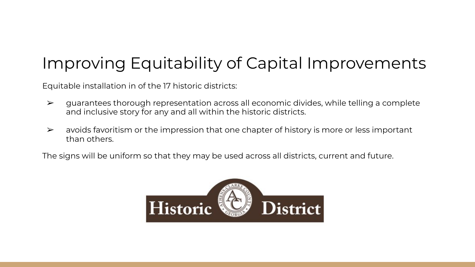# Improving Equitability of Capital Improvements

Equitable installation in of the 17 historic districts:

- $\triangleright$  guarantees thorough representation across all economic divides, while telling a complete and inclusive story for any and all within the historic districts.
- $\triangleright$  avoids favoritism or the impression that one chapter of history is more or less important than others.

The signs will be uniform so that they may be used across all districts, current and future.

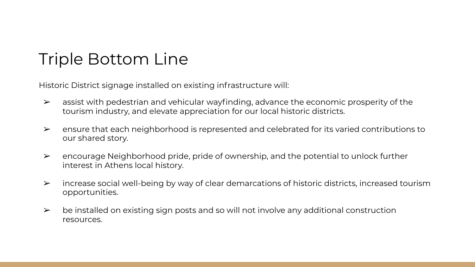### Triple Bottom Line

Historic District signage installed on existing infrastructure will:

- $\triangleright$  assist with pedestrian and vehicular wayfinding, advance the economic prosperity of the tourism industry, and elevate appreciation for our local historic districts.
- $\triangleright$  ensure that each neighborhood is represented and celebrated for its varied contributions to our shared story.
- $\triangleright$  encourage Neighborhood pride, pride of ownership, and the potential to unlock further interest in Athens local history.
- $\triangleright$  increase social well-being by way of clear demarcations of historic districts, increased tourism opportunities.
- $\triangleright$  be installed on existing sign posts and so will not involve any additional construction resources.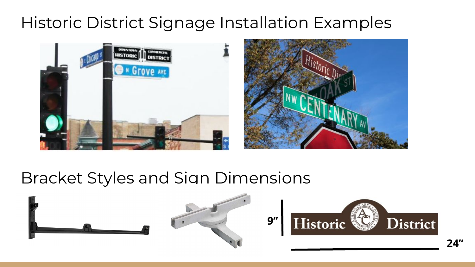## Historic District Signage Installation Examples



#### Bracket Styles and Sign Dimensions